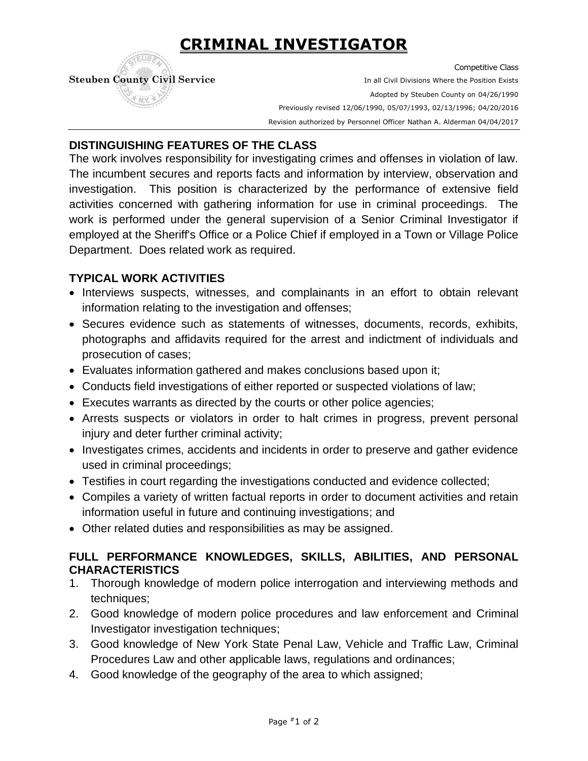# **CRIMINAL INVESTIGATOR**

Competitive Class **Steuben County Civil Service In all Civil Divisions Where the Position Exists** Adopted by Steuben County on 04/26/1990 Previously revised 12/06/1990, 05/07/1993, 02/13/1996; 04/20/2016 . Revision authorized by Personnel Officer Nathan A. Alderman 04/04/2017

## **DISTINGUISHING FEATURES OF THE CLASS**

The work involves responsibility for investigating crimes and offenses in violation of law. The incumbent secures and reports facts and information by interview, observation and investigation. This position is characterized by the performance of extensive field activities concerned with gathering information for use in criminal proceedings. The work is performed under the general supervision of a Senior Criminal Investigator if employed at the Sheriff's Office or a Police Chief if employed in a Town or Village Police Department. Does related work as required.

## **TYPICAL WORK ACTIVITIES**

- Interviews suspects, witnesses, and complainants in an effort to obtain relevant information relating to the investigation and offenses;
- Secures evidence such as statements of witnesses, documents, records, exhibits, photographs and affidavits required for the arrest and indictment of individuals and prosecution of cases;
- Evaluates information gathered and makes conclusions based upon it;
- Conducts field investigations of either reported or suspected violations of law;
- Executes warrants as directed by the courts or other police agencies;
- Arrests suspects or violators in order to halt crimes in progress, prevent personal injury and deter further criminal activity;
- Investigates crimes, accidents and incidents in order to preserve and gather evidence used in criminal proceedings;
- Testifies in court regarding the investigations conducted and evidence collected;
- Compiles a variety of written factual reports in order to document activities and retain information useful in future and continuing investigations; and
- Other related duties and responsibilities as may be assigned.

## **FULL PERFORMANCE KNOWLEDGES, SKILLS, ABILITIES, AND PERSONAL CHARACTERISTICS**

- 1. Thorough knowledge of modern police interrogation and interviewing methods and techniques;
- 2. Good knowledge of modern police procedures and law enforcement and Criminal Investigator investigation techniques;
- 3. Good knowledge of New York State Penal Law, Vehicle and Traffic Law, Criminal Procedures Law and other applicable laws, regulations and ordinances;
- 4. Good knowledge of the geography of the area to which assigned;